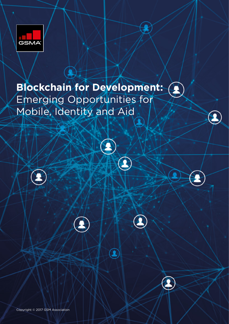

## **Blockchain for Development:**  Emerging Opportunities for Mobile, Identity and Aid

¥





 $\widehat{\blacktriangle}$ 



¥

Copyright © 2017 GSM Association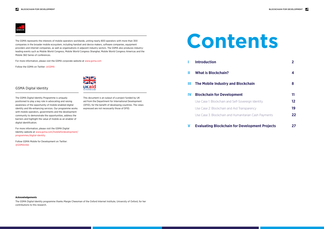The GSMA represents the interests of mobile operators worldwide, uniting nearly 800 operators with more than 300 companies in the broader mobile ecosystem, including handset and device makers, software companies, equipment providers and internet companies, as well as organisations in adjacent industry sectors. The GSMA also produces industryleading events such as Mobile World Congress, Mobile World Congress Shanghai, Mobile World Congress Americas and the Mobile 360 Series of conferences.



For more information, please visit the GSMA corporate website at www.gsma.com

- **II What is Blockchain? 4**
- **III** The Mobile Industry and Block

#### **IV Blockchain for Development**

Use Case 1: Blockchain and Self-Sover Use Case 2: Blockchain and Aid Trans Use Case 3: Blockchain and Humanita

#### **V Evaluating Blockchain for Dev**

Follow the GSMA on Twitter: @GSMA

The GSMA Digital Identity programme thanks Margie Cheesman of the Oxford Internet Institute, University of Oxford, for her contributions to this research.



|                     | 2  |
|---------------------|----|
|                     | 4  |
| <b>chain</b>        | 8  |
|                     | 11 |
| reign Identity      | 12 |
| sparency            | 19 |
| arian Cash Payments | 22 |
| elopment Projects   |    |

#### **Acknowledgements**

This document is an output of a project funded by UK aid from the Department for International Development (DFID), for the benefit of developing countries. The views expressed are not necessarily those of DFID.

## **Contents**

#### **I Introduction 2**

The GSMA Digital Identity Programme is uniquely positioned to play a key role in advocating and raising awareness of the opportunity of mobile-enabled digital identity and life-enhancing services. Our programme works with mobile operators, governments and the development community to demonstrate the opportunities, address the barriers and highlight the value of mobile as an enabler of

digital identification.

For more information, please visit the GSMA Digital

Identity website at www.gsma.com/mobilefordevelopment/



programmes/digital-identity

Follow GSMA Mobile for Development on Twitter:

@GSMAm4d

GSMA Digital Identity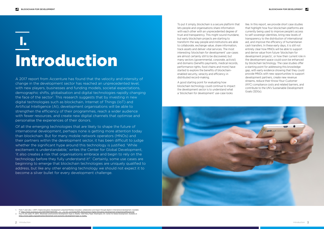To put it simply, blockchain is a secure platform that lets people and organisations share information with each other with an unprecedented degree of trust and transparency. This might sound mundane, but early blockchain projects are starting to transform the way people and institutions are able to collaborate, exchange value, share information, track assets and deliver vital services. The most interesting 'blockchain for development' use-cases are almost certainly still to be discovered, but many sectors (governmental, corporate, activist) and domains (benefits payments, medical records, performance rights, food chains and more) have started to explore the benefits of blockchainenabled security, veracity and efficiency in distributed record-making.

A good starting point for evaluating how blockchain technology could continue to impact the development sector is to understand what a 'blockchain for development' use-case looks



- 1. Ford, F. and Lobo, I. (2017). Digital disruption: Development unleashed Multiply innovation, collaboration and impact through digital in international development. Available
- at: <u>https://www.accenture.com/t20170601T0835387\_\_w\_\_/us-en/\_acnmedia/PDF-40/Accenture-Digital-Disruption-Development-Unleashed.pdf#zoom=50<br>2. Pisa, M. and Juden, M. (2017). 'Blockchain and Economic Development: Hype vs. R</u> https://www.cgdev.org/publication/blockchain-and-economic-develo

like. In this report, we provide short case studies that highlight how four blockchain platforms are currently being used to improve people's access to self-sovereign identities, bring new levels of transparency to the distribution of international aid, and improve the efficiency of humanitarian cash transfers. In these early days, it is still not entirely clear how MNOs will be able to support and derive value from future 'blockchain for development projects', or how their current role in the development space could soon be enhanced by blockchain technology. The case studies offer a starting point for addressing this knowledge gap, with early evidence showing that they could provide MNOs with new opportunities to support development partners, create new revenue streams, reduce their Know-Your-Customer (KYC) compliance costs and related barriers, and contribute to the UN's Sustainable Development Goals (SDGs).

# Introduction I.

A 2017 report from Accenture has found that the velocity and intensity of change in the development sector has reached an unprecedented level, with new players, businesses and funding models, societal expectations, demographic shifts, globalisation and digital technologies rapidly changing the face of the sector<sup>1</sup>. This research suggests that by investing in new digital technologies such as blockchain, Internet of Things (IoT) and Artificial Intelligence (AI), development organisations will be able to strengthen the efficiency of their programmes, reach a wider audience with fewer resources, and create new digital channels that optimise and personalise the experiences of their donors.

Of all the emerging technologies that are likely to shape the future of international development, perhaps none is getting more attention today than blockchain. But for many mobile network operators (MNOs) and their partners within the development sector, it has been difficult to judge whether the significant hype around this technology is justified. 'While excitement is understandable,' writes the Center for Global Development, 'it also creates a risk that organisations embrace and begin to rely on the technology before they fully understand it<sup>2</sup>.' Certainly, some use cases are beginning to emerge that blockchain technologies are uniquely qualified to address, but like any other enabling technology we should not expect it to become a silver bullet for every development challenge.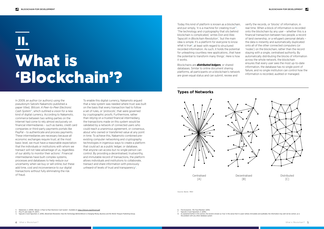To enable this digital currency, Nakamoto argued that a new system was needed where trust was built on the basis that every transaction had to follow a set of rules, or 'protocols', that were governed by cryptographic proofs. Furthermore, rather than relying on a trusted financial intermediary, the transactions made on this system would be validated by a network of connected users who could reach a unanimous agreement, or consensus, about who owned or transferred value at any point in time. To achieve this, Nakamoto combined preexisting computer networking and cryptography technologies in ingenious ways to create a platform that could act as a public ledger, or database, that anyone can access but no single person can control. By providing a decentralised, trustworthy, and immutable record of transactions, the platform allows individuals and institutions to collaborate, transact and share information with previously unheard-of levels of trust and transparency<sup>5</sup>.

In 2009, an author (or authors) using the pseudonym Satoshi Nakamoto published a paper titled, *'Bitcoin: A Peer-to-Peer Electronic Cash System'*<sup>3</sup> , which outlined a vision for a new kind of digital currency. According to Nakamoto, commerce between two willing parties on the Internet had come to rely almost exclusively on financial intermediaries – such as banks, credit card companies or third-party payments portals like PayPal – to authenticate and process payments. These intermediaries are necessary because all economic exchanges require trust; at the most basic level, we must have a reasonable expectation that the individuals or institutions with whom we transact will not take advantage of us, regardless of our ability to monitor their actions<sup>4</sup>. Financial intermediaries have built complex systems, processes and databases to help reduce our uncertainty when we buy or sell online, but these add time, cost and inconvenience to our digital transactions without fully eliminating the risk of fraud.



Distributed  $\lceil C \rceil$ 

Today this kind of platform is known as a blockchain, and put simply, 'it is a machine for creating trust'<sup>6</sup>. 'The technology and cryptography that sits behind blockchain is complicated,' writes Don and Alex Tapscott in *Blockchain Revolution*<sup>7</sup> , 'but the main idea is simple. It's a platform for everyone to know what is true<sup>8</sup>, at least with regard to structured recorded information. As such, it holds the potential for unleashing countless new applications…that have the potential to transform many things'. Here is how it works.

Blockchains are *distributed ledgers*, or shared databases. Similar to online document sharing platforms, all participants on a blockchain's network are given equal status and can submit, review and

verify the records, or 'blocks' of information, in real time. When a block of information is recorded onto the blockchain by any user – whether this is a financial transaction between two people, a record of land ownership, or a refugee's personal details – the data is instantly and automatically duplicated onto all of the other connected computers (or 'nodes') on the blockchain, rather than the record staying with a single, centralised authority. By automatically distributing the blocks of information across the whole network, the blockchain ensures that every user sees the most up-to-date information, the database has no single point of failure, and no single institution can control how the information is recorded, audited or managed.

### **Types of Networks**

# What is 'Blockchain'? II.

Source: Baran, 1964



 $\lceil A \rceil$ 

 $[B]$ 

5. Tapscott, D and Tapschott, A. (2016). *Blockchain Revolution: How the Technology Behind Bitcoin is Changing Money, Business and the World.* Penguin Publishing Group.

- 6. The Economist, *'The Trust Machine'* (2015) Tapscott, D and Tapschott, A. (2016).
- As explained further in this section, the record is known as 'true' in the sense that it is peer-vetted, immutable and auditable; the information may well not be correct, as is the problem with any other database system

Nakamoto, S. (2009). 'Bitcoin: A Peer-to-Peer Electronic Cash System'. Available at: <https://bitcoin.org/bitcoin.pdf>

Disa, M. and Juden, M. (2017).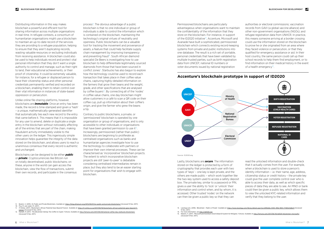Distributing information in this way makes blockchain a powerful and efficient tool for sharing information across multiple organisations in real-time. In refugee contexts, a consortium of humanitarian organisations might use a blockchain to maintain an up-to-date record of the services they are providing to a refugee population, helping to ensure that they aren't duplicating records, wasting valuable resources or excluding individuals from receiving assistance. A blockchain could also be used to help individuals record and protect vital personal information that they don't want a single authority to control and manage, such as their right to land, their educational achievements, or their proof of citizenship. It could be extremely valuable, for instance, for a refugee or displaced person to have their citizenship status and other personal credentials permanently verified and recorded on a blockchain, enabling them to retain control over their vital information in instances of state-based oppression or persecution.

Unlike online file-sharing platforms, however, blockchains are *immutable*. Once an entry has been made, the record is time-stamped and given a 'hash' – a unique, mathematically-generated identifier that automatically ties each new record to the entry that came before it. This means that it is impossible for any user to amend, delete or duplicate a single entry in the blockchain without noticeably affecting all of the entries that are part of the chain, making fraudulent activity immediately visible to the other users on the ledger. This ingeniously simple innovation helps guarantee the integrity of the data stored on the blockchain, and allows users to reach a unanimous consensus that every record is authentic and unchanged.

process<sup>9</sup>. The obvious advantage of a public blockchain is that no one individual or group of individuals is able to control the information which is contained on the blockchain, maintaining the technology's original virtues of neutrality and openness. Public blockchains can be a valuable tool for tracking the movement and provenance of assets, a feature that could help facilitate supply chain management by improving transparency and preventing fraud<sup>10</sup>. South African diamond specialist De Beers is investigating how to use blockchain to help differentiate legitimately sourced diamonds from those that have been sourced in conflict zones<sup>11</sup>. Starbucks has also begun to explore how the technology could be used to record each transaction that takes place in their coffee value chains, capturing highly-detailed information on the farmers that grow their beans and the weight, grade, and other specifications that are analysed by coffee buyers<sup>12</sup>. By connecting all of the 'nodes' in coffee value chains, one day blockchain might allow customers in a café to scan a QR code on their coffee cup, pull up information about their coffee's origin, and give the farmer who grew the beans a tip.

Blockchains can be designed to be either *public*  or *private*. Cryptocurrencies like Bitcoin run on totally decentralised, public blockchains; on these, anyone in the world can gain access the blockchain, view the flow of transactions, submit their own records, and participate in the consensus authorities or electoral commissions; vaccination records from GAVI (a global vaccine alliance) and other non-government organisations (NGOs); and refugee registration data from UNHCR. In practice, this means someone arriving at a border crossing could use the information stored on the blockchain to prove he or she originated from an area where they faced violence or persecution, or that they qualified for emergency assistance or aid. In their host country, the same person could call up their school records to help them find employment, or to find information on their medical history in the event of a health emergency<sup>15</sup>.

Contrary to public blockchains, a private, or 'permissioned' blockchain is operated by one organisation or group of organisations, and is only accessible to other individuals or organisations that have been granted permission to use it $^{13}$ . Increasingly, permissioned (rather than public) blockchains are beginning to proliferate as centralised organisations such as banks and humanitarian agencies investigate how to use the technology to collaborate with partners or improve their own internal processes. These can be characterised as 'incorporative' blockchain projects. The extent to which incorporative blockchain projects are still 'peer-to-peer' is debatable considering centralised intermediaries remain in place, but they also tend to be an easier starting point for organisations that wish to engage with blockchain.

Permissioned blockchains are particularly advantageous when organisations want to maintain the confidentiality of the information that they store on the blockchain. For instance, in support of the ID2020 initiative<sup>14</sup>, Accenture, Microsoft and Avanade have built a sophisticated, permissioned blockchain which connects existing record-keeping systems from private and public institutions into one database. The result is a rich set of portable, personal credentials that have been validated by multiple trusted parties, such as birth registration data from UNICEF; national ID numbers or voter documents issued by national registration

Lastly, blockchains are *secure*. The information stored on the ledger is protected by a form of cryptography that provides each user with two types of 'keys' – one key is kept private, and the others are made public – which work together like the two-key system used to access a safety deposit box. The private key, similar to a password or PIN, gives a user the ability to 'lock' or 'unlock' their information and control when, and by whom, it is accessed. Other trusted 'nodes' on the network can then be given a public key so that they can

read the unlocked information and double-check that it actually comes from the user. For example, when a blockchain is used to store a person's identity information – i.e. their name, age, address, citizenship status or credit history – the private key could give the user complete control over who is able to access their data, as well as which specific pieces of data they are able to see. An MNO or bank could then be given a public key, which allows them to view the unlocked KYC-related information and verify that they belong to the user.

Source: ID2020.org



13. Lexology.com, (2016). *'Blockchain - Public or Private'.* Available at: <https://www.lexology.com/library/detail.aspx?g=a381bb8a-3494-4f8d-9655-7f469cfddb23> [Accessed 15 Nov. 2017].

15. Roberts, F. (2017). *'Microsoft and Accenture Unveil Global ID System for Refugees',* Fortune. Available at: <http://fortune.com/2017/06/19/id2020-blockchain-microsoft/> [Accessed 15 Nov. 2017].

 $\overline{a}$ 

<sup>11.</sup> IT-Online. (2017). 'Blockchain's African Potential Goes Beyond Finance'. Available at: [https://it-online.co.za/2017/08/18/blockchains-african-potential-goes-beyond-fi](https://it-online.co.za/2017/08/18/blockchains-african-potential-goes-beyond-finance/)[nance/](https://it-online.co.za/2017/08/18/blockchains-african-potential-goes-beyond-finance/) [Accessed 15 Nov. 2017].

Buterin, V. (2015). On Public and Private Blockchains. Available at: <https://blog.ethereum.org/2015/08/07/on-public-and-private-blockchains/> [Accessed 15 Nov. 2017]. Pisa, M. and Juden, M. (2017).

<sup>12.</sup> Hackett, R (2017). *'This Blockchain Startup Ties Coffee to Crypto'.* Fortune. Available at: <http://fortune.com/2017/09/29/national-coffee-day-starbucks-blockchain/> [Accessed 15 Nov. 2017].

<sup>14.</sup> For more information, see <http://id2020.org>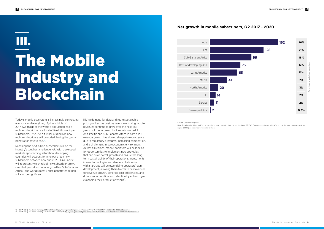Today's mobile ecosystem is increasingly connecting everyone and everything. By the middle of 2017, two thirds of the world's population had a mobile subscription – a total of five billion unique subscribers. By 2020, a further 620 million new mobile subscribers will be added, taking the global penetration rate to 75%<sup>16</sup>.

Rising demand for data and more sustainable pricing will act as positive levers in ensuring mobile revenues continue to grow over the next four years, but the future outlook remains mixed. In Asia Pacific and Sub-Saharan Africa in particular, revenue growth has slowed sharply in recent years due to regulatory pressures, increasing competition, and a challenging macroeconomic environment. Across all regions, mobile operators will be looking for opportunities to implement new strategies that can drive overall growth and ensure the longterm sustainability of their operations. Investments in new technologies and deeper collaboration with start-ups will be essential to operators' own development, allowing them to create new avenues for revenue growth, generate cost efficiencies, and drive user acquisition and retention by enhancing or expanding their product offerings<sup>17</sup>.

Reaching the next billion subscribers will be the industry's toughest challenge yet. With developed markets approaching saturation, developing countries will account for nine out of ten new subscribers between now and 2020. Asia Pacific will represent two-thirds of new subscriber growth over that period, and annual growth in Sub-Saharan Africa – the world's most under-penetrated region – will also be significant.

# The Mobile Industry and Blockchain III.

### **Net growth in mobile subscribers, Q2 2017 - 2020**

Source: GSMA Intelligence

Note: Developed = 'High' and 'Upper middle' income countries (GNI per capita above \$3,956). Developing = 'Lower middle' and 'Low' income countries (GNI per capita \$3,955) as classified by the World Bank.



16. GSMA (2017). *The Mobile Economy 2017.* Available at: <https://www.gsmaintelligence.com/research/?file=9e927fd6896724e7b26f33f61db5b9d5&download>

17. GSMA (2017). *The Mobile Economy Asia Pacific 2017.* Available at: <https://www.gsmaintelligence.com/research/?file=336a9db2ab3ed95bc70e62bf7e867855&download>

 $\overline{a}$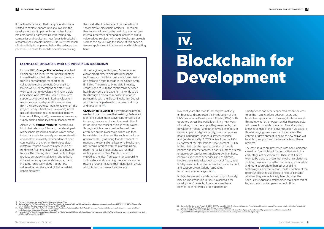

It is within this context that many operators have started to explore opportunities to invest in the development and implementation of blockchain projects, forging partnerships with technology companies and dedicating new funds to blockchain research (see examples below). It is likely that much of this activity is happening below the radar, as the potential use cases for mobile operators receiving

In June 2015, **Orange Silicon Valley** launched ChainForce, an initiative that brings together innovative blockchain start-ups and forwardthinking corporations for short-term, collaborative pilot projects. Over eight to twelve weeks, corporations and start-ups work together to develop a Minimum Viable Blockchain App (MVBA), which ChainForce supports by providing limited development resources, mentorship, and business cases from their corporate partners to help orient the project. Today, ChainForce is exploring novel uses of blockchain related to digital identity, Internet of Things (IoT), provenance, insurance, supply chain and utility/energy Management<sup>18</sup>.

the most attention to date fit our definition of 'incorporative blockchain projects' – meaning they focus on lowering the cost of operators' own internal processes or expanding access to digital value-added services. Although blockchain projects such as this are outside the scope of this paper, a few well-publicised initiatives are worth highlighting here:

Also in 2015, **Verizon Ventures** invested in a blockchain start-up, Filament, that developed a blockchain-based IoT solution which allows industrial assets to securely communicate with one another wirelessly, independent of cloud connectivity or any other third-party data platform. Verizon provided a new round of funding to Filament in 2017, with the intention to scale the offerings from paid pilots to large production-grade installations, and to build out a wider ecosystem of delivery partners, including large technology integrators, value-added resellers, and global industrial conglomerates<sup>19</sup>.

At the beginning of this year, **Du** announced a pilot programme which uses blockchain technology to facilitate the secure transmission of electronic health records in the United Arab Emirates. The aim is to bring data integrity, security and trust to the relationship between health providers and patients. It intends to do this through a blockchain-based solution in partnership with the Global Blockchain Council, which is itself a partnership between industry and government<sup>20</sup>.

**GSMA's Mobile Connect** is investigating how to use blockchain to make their existing, federated identity solution more convenient for users. For instance, they are exploring the possibility of introducing the concept of an 'identity wallet', through which a user could self-assert their attributes on the blockchain, which can then be validated by other entities such as banks or governments. By allowing Mobile Connect to manage the user's digital keys on a blockchain, users could interact with the platform using more 'humanised' identifiers, such as their mobile phone number. Mobile Connect is viewed as the ideal framework for supporting such wallets, and providing users with a simple means of authenticating their identities in a way which is both convenient and secure<sup>21</sup>.

In recent years, the mobile industry has actively embraced and supported the introduction of the UN's Sustainable Development Goals (SDGs), with operators across the world identifying new ways of working in partnership with governments, the development sector and other key stakeholders to deliver impact in digital identity, financial services, health, agriculture, utilities, disaster resilience and gender equality. A 2015 review from the UK's Department for International Development (DFID) highlighted that the rapid expansion of mobile phones and internet access in poor countries offered unique opportunities to stimulate growth, enhance people's experience of services and as citizens, involve them in development work, cut fraud, help hold governments and other institutions to account, and support organisations responding to humanitarian emergencies<sup>22</sup>.

#### **EXAMPLES OF OPERATORS WHO ARE INVESTING IN BLOCKCHAIN**

Mobile devices and mobile connectivity will surely play an important role in future 'blockchain for development' projects, if only because these peer-to-peer networks largely depend on

smartphones and other connected mobile devices to be the main interface between users and blockchain applications. However, it is less clear at this point what other opportunities these projects will present to mobile operators. To address this knowledge gap, in the following section we explore three emerging use cases for blockchain in the context of development, looking at how MNOs will be able to support, and derive value from, these projects.

The case studies are presented with one significant caveat: all four highlight platforms that are in the early stages of development. There is still much work to be done to prove that blockchain platforms such as these are cost-effective, secure, sustainable, and more appropriate than other enabling technologies. For that reason, the last section of the report unpicks the use-cases to help us consider whether they are technically feasible, what the social-contextual and stakeholder challenges might be, and how mobile operators could fit in.

# Blockchain for Development IV.

- 19. Business Wire (2017). '*Filament Receives \$15M in New Funding for Industrial IoT'.* Available at: [http://www.businesswire.com/news/home/20170330005189/en/Filament-Re](http://www.businesswire.com/news/home/20170330005189/en/Filament-Receives-15M-New-Funding-Industrial-IoT)[ceives-15M-New-Funding-Industrial-IoT](http://www.businesswire.com/news/home/20170330005189/en/Filament-Receives-15M-New-Funding-Industrial-IoT) [Accessed 15 Nov. 2017].
- -20. Rizzo, P. (2017). *'Mobile Telco Du Reveals New Blockchain Healthcare Partnership',* Coin Desk. Available at: <u>https://www.coindesk.com/mobile-telco-du-reveals-new-block-</u><br><u>[chain-healthcare-partnership/](https://www.coindesk.com/mobile-telco-du-reveals-new-blockchain-healthcare-partnership/) [</u>Accessed 15
- 21. Hazari, G. (2017). *'The Relationship Between Blockchain and Digital Identity'*, GSMA. Available at: [https://www.gsma.com/identity/the-relationship-between-blockchain-and-digi](https://www.gsma.com/identity/the-relationship-between-blockchain-and-digital-identity)[tal-identity](https://www.gsma.com/identity/the-relationship-between-blockchain-and-digital-identity) [Accessed 15 Nov. 2017].
- 22. Ranger, P., Chandler, J. and Arscott, B. (2015). 'DFID Review of Digital in Development Programmes'. Available at: https://www.gov.uk/government/u
- [tachment\\_data/file/417521/Review-Digital-Programmes-Feb2015.pdf](https://www.gov.uk/government/uploads/system/uploads/attachment_data/file/417521/Review-Digital-Programmes-Feb2015.pdf)<br>23. World Bank (2017). 'Principles on Identification for Sustainable Development: Toward the Digital Age'. Available at: <u>http://documents.worldbank.org/curat</u>

[en/213581486378184357/Principles-on-identification-for-sustainable-development-toward-the-digital-age](http://documents.worldbank.org/curated/en/213581486378184357/Principles-on-identification-for-sustainable-development-toward-the-digital-age)

<sup>18.</sup> For more information, see: <http://www.chainforce.org/#chainforce>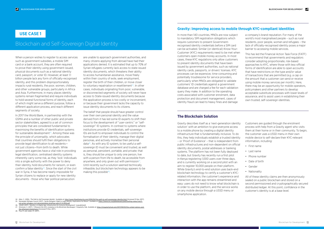$\overline{a}$ 

When a person wishes to register to access services such as government subsidies, a mobile SIM card or a bank account, they are often required to prove their identity using government-issued, physical documents such as a national identity card, passport, or voter ID. However, at least 1.1 billion people lack any form of officially-recognised identity, and this problem disproportionately impacts rural residents, the poor, women, children, and other vulnerable groups, particularly in Africa and Asia. Furthermore, in many places identity systems remain fragmented and require individuals to hold several functional forms of identity, each of which might serve a different purpose, follow a different application process, and reach different segments of society.

The belief that people should have greater control over their own personal identity and the value derived from it has led some ID experts to shift their focus to the development of "user-centric" or "selfsovereign" ID systems. In contrast to systems where institutions provide ID credentials, self-sovereign IDs are built to empower individuals to control the formalisation of their identity, manage their digital personas, and actively monetise their personal data<sup>26</sup>. As with any ID system, to be useful a selfsovereign ID must be convenient and trusted, as well as personal, persistent, portable, and private; that is, they should be unique to only one person, live with a person from life to death, be accessible from anywhere, and only given out with permission $27$ . Until recently such a solution seemed technically infeasible, but blockchain technology appears to be making this possible<sup>28</sup>.

In 2017 the World Bank, in partnership with the GSMA and a number of other public and private sector stakeholders, agreed to a set of common principles that are considered fundamental to maximising the benefits of identification systems for sustainable development $23$ . Among these was the principle of *universality*, which advocates that countries should fulfil their obligations to provide legal identification to all residents not just citizens—from birth to death. While government agencies have a vital role in providing legal identification, centralised identity systems inherently carry some risk, as they 'lock' individuals into a single authority with the power to deny their identity, hold documents for ransom, or even confirm a false identity $24$ . Since the start of the civil war in Syria, it has become nearly impossible for Syrian citizens to replace or apply for new identity documents - those who fear political persecution

are unable to approach government authorities, and many citizens applying from abroad have had their applications denied. It is estimated that up to 70% of Syrian refugees currently lack access to state-issued identity documents, which threatens their ability to access humanitarian assistance, move freely within their country of exile, seek employment, register the birth of their children, or move closer to voluntary repatriation or resettlement<sup>25</sup>. In other cases, individuals originating from poor, vulnerable, or disconnected segments of society will never have access to State-issued identity documents because the application process is too costly or inconvenient, or because their government lacks the capacity to issue identity documents to its citizens.

**USE CASE 1 In more than 140 countries**, MNOs are now subject to mandatory SIM registration obligations which require customers to present Governmentrecognised identity credentials before a SIM card can be activated. Similar (or identical) Know-Your-Customer (KYC) requirements need to be met when customers open mobile money accounts. In most cases, these KYC regulations only allow customers to present identity documents that have been issued by government authorities, such as national identity cards, passports, or drivers' licenses. KYC processes can be expensive, time-consuming and potentially troublesome for service providers, particularly when MNOs are obligated to validate customers' ID credentials against a government database and are charged a fee for each validation query they make. In addition to the operating costs associated with customer enrolment, data protection and document management, cases of identity fraud can lead to heavy fines and damage

### Blockchain and Self-Sovereign Digital Identity

- a company's brand reputation. For many of the world's most marginalised people – such as rural residents, poor people, women and refugees – the lack of officially-recognised identity poses a major barrier to accessing mobile services.
- This has led the Financial Action Task Force (FATF) to recommend that governments and regulators consider adopting proportionate, risk-based approaches to KYC, where those with less-official forms of identification are able to open accounts that have restrictions on the type and/or value of transactions that are permitted (e.g. a cap on the amount that a customer can send or receive using mobile money services per month). Here, there may be an opportunity for mobile operators, policymakers and other partners to develop acceptable substitute processes with lower levels of assurance, and to assist users in establishing their own trusted, self-sovereign identities.

Gravity describes itself as a 'next-generation identity solution' with an ambition to give everyone access to a mobile phone by creating a digital identity infrastructure that is fundamentally inclusive. To do this, they help individuals establish a trusted identity – or 'Proof of Existence' – that is independent from public infrastructures and non-dependent on official identity documents, postal addresses or banking systems. The platform has not been fully deployed to date, but Gravity has recently run a first pilot in Kenya registering 1,000 users over three days, and is currently working on a second pilot with an aim to register 10,000 people on their platform. While Gravity's end-to-end solution uses back-end blockchain technology to certify a customer's KYCrelated information, the customer's experience and interaction with the app remains streamlined and easy: users do not need to know what blockchain is in order to use the platform, and the service works on any mobile device through a USSD menu or smartphone application.

Customers are guided through the enrolment process with help from a Gravity agent who visits them at their home or in their community. To begin, the customer uses a USSD menu in their own mobile device to self-declare their KYC-relevant information, including:

- First name
- Last name
- Phone number
- Date of birth
- Gender
- Nationality

All of these identity claims are then anonymously sealed on a public blockchain and stored on a second permissioned and cryptographically secured distributed ledger. At this point, confidence in the customer's identity is at a base level.

#### **Gravity: Improving access to mobile through KYC-compliant identities**

#### **The Blockchain Solution**

<sup>27.</sup> Simonsen, S. (2017). '*5 Reasons the UN Is Jumping on the Blockchain Bandwagon',* Singularity Hub. Available at: [https://singularityhub.com/2017/09/03/the-united-nations-and](https://singularityhub.com/2017/09/03/the-united-nations-and-the-ethereum-blockchain/)[the-ethereum-blockchain/](https://singularityhub.com/2017/09/03/the-united-nations-and-the-ethereum-blockchain/) [Accessed 15 Nov. 2017].

<sup>24.</sup> Allen, C. (2016). *'The Path to Self-Sovereign Identity'.* Available at:<http://www.lifewithalacrity.com/2016/04/the-path-to-self-soverereign-identity.html>[Accessed 15 Nov. 2017]. 25. Norwegian Refugee Council (2017). *'Syrian Refugees' Right to Legal Identity: Implications for Return'.* Available at: [https://www.nrc.no/globalassets/pdf/briefing-notes/icla/fi-](https://www.nrc.no/globalassets/pdf/briefing-notes/icla/final-syrian-refugees-civil-documentation-briefing-note-21-12-2016.pdf)

[nal-syrian-refugees-civil-documentation-briefing-note-21-12-2016.pdf](https://www.nrc.no/globalassets/pdf/briefing-notes/icla/final-syrian-refugees-civil-documentation-briefing-note-21-12-2016.pdf)

<sup>26.</sup> USAID (2017). *'Identity in A Digital Age: Infrastructure for Inclusive Development'.* [unpublished]

<sup>28.</sup> Pisa, M. and Juden, M. (2017).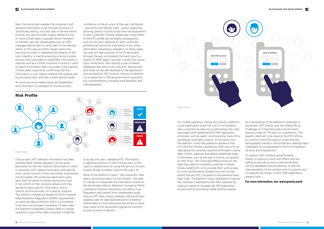**Enter PIN to proceed:** Send Cancel



Next, the blockchain enables the customer's selfdeclared information to go through a process of 'distributed vetting'. As a last step in the enrolment process, the user provides contact details for five or more of their peers (typically family members or friends), who are subsequently sent an SMS message asking them to verify each of the identity claims. In this way, an entire virtual community becomes involved in validating the integrity of the user's identity. A machine learning scoring module ensures that inaccurate or malevolent information is rejected, and as a further incentive to Gravity's users to report information that is accurate, if the majority of their peers respond by confirming that the information is true, Gravity rewards the original user by providing them with free mobile airtime credit.

As more and more relationships are established and information is validated on the blockchain,

confidence in the accuracy of the user's attributes – and hence the identity itself – grows organically, allowing Gravity to build a real-time risk assessment of each customer's profile. Additional critical fields of the KYC profile can be added subsequently, such as the user's National ID, birth certificate, professional licence for merchants, or any other information required by regulators. In these cases, the user will take a picture of the ID document through the app, and present the hard copy to a Gravity or MNO agent, typically a small shop owner. Upon verification, their identity score increases. Addresses also tend to be a key KYC requirement, and these can be self-declared on the application and reviewed by GPS location. Gravity is therefore not a substitute to official government-issued IDs, but complementary, bringing more flexibility and interoperability.

Once a user's KYC-relevant information has been authenticated, mobile operators can be given permission to link into Gravity's blockchain to check a customer's KYC-related information and see the most current picture of their risk profile. Importantly, the encrypted, PIN-protected application gives each user the ability to remain anonymous and in full control of their personal details until they decide to share specific information, with a specific service provider, for a specific purpose. The solution complies *by design* to the EU General Data Protection Regulation (GDPR) requirements on personal data protection which is considered to be the most stringent anywhere. To help make the platform sustainable, Gravity plans to charge operators or any other data consumer a small fee

to access the user's validated KYC information, a significant portion of which will go back to the users to reward them for using the service. As such, Gravity brings monetary value to the user's ID.

None of the platform's users – the customers, their peers, service providers, or even Gravity - are able to change or manipulate the information stored on the blockchain without detection, increasing MNOs' confidence that the information provided is true. Regulators also benefit from independent audit trails on KYC data. Gravity believes that blockchainenabled, peer-to-peer authentication of identityrelated data is more robust and less prone to fraud than many of the documents regulators currently accept as proof of identity.

For mobile operators, linking into Gravity's platform could significantly lower the cost of on-boarding new customers by reducing or eliminating the costs associated with traditional KYC/SIM registration processes, such as agent commissioning, back office procedures, and data systems. At the same time, the platform could help operators enhance their KYC and Anti-Money Laundering (AML) security by replicating the currently required information (name, date of birth, address) and adding additional levels of attributes, such as the user's income, occupation or next of kin. This could give MNOs access to the data they need to increase a customer's mobile money wallet limit, or to provide them with access to more sophisticated, targeted services (to the extent that any KYC compliance requirements have been met). The platform is also designed to improve the customer's experience with their operator by making it easier to navigate the SIM registration process and by providing mobile airtime rewards.



As a recognition of the platform's potential, in November 2017 Gravity won the Digital Africa Challenge on Citizenship and e-Government, beating a field of 770 start-up competitors. The awards ceremony took place at the Fifth Africa– EU Summit, which focused on youth and the demographic trends in Africa that are creating major challenges for young people in terms of migration, security and employment.

To support their initiative going forward, Gravity is hoping to work with MNOs who are willing to provide access to internal facilities. such as databases and procedures, to test the interoperability of the solution with its systems and to measure the impact on KYC/SIM registrationrelated costs.

#### **For more information, see: [www.gravity.earth](https://www.gravity.earth)**

Source: Gravity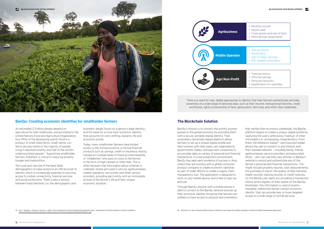

An estimated 2.3 billion people depend on agriculture for their livelihoods, and according to the United Nations Food and Agriculture Organization, four-fifths of the developing world's food is a product of small-sized farms. Small, family-run farms are also home to the majority of people living in absolute poverty, and half of the world's undernourished people29. Supporting smallholder farmers, therefore, is critical to reducing poverty, hunger and malnutrition.

The rural poor are one of the least likely demographics to have access to an official proof of identity, which is increasingly essential to securing access to mobile connectivity, financial services and social protections. There is also a tension between fixed identities (i.e. the demographic and

biometric details found on a person's legal identity), and the need for a more fluid 'economic identity' that accounts for one's shifting, dynamic life and economic profile.

Today, many smallholder farmers have limited access to the formal economy or formal financial products such as savings, credit or insurance, relying instead on multiple levels of financial intermediaries, or 'middlemen' who pass on costs to the farmer in the form of high interest or other fees. This is often because vital information about a farmer is collected, stored and used in silos by agribusinesses, mobile operators, non-profits and other service providers, providing each entity with an incomplete picture of the farmer's life and their unique economic situation:

There is a need for new, digital approaches to identity that help farmers authenticate and take ownership of a wide range of personal data, such as their income, transactional histories, credit worthiness, rights to/ownership of land, geolocation, farm size, and other vital credentials.

### **BanQu: Creating economic identities for smallholder farmers**

- Monthly Income
- Inputs used
- Crops grown and size of land
- Informal loan repayments
- Top-up history
- Geolocation
- Use of mAgri services
- KYC-related information
- Training history
- Informal savings
- Personal networks
- Qualification for subsidies



BanQu's mission is to connect the world's poorest people to the global economy by providing them with a secure, portable digital identity. Their proprietary blockchain-based platform allows farmers to set up a unique digital profile and then connect with their peers, aid organisations, governments, banks, and payment companies to accumulate data on variety of personal and financial transactions. In a live production environment, BanQu has seen early evidence of success in Asia, where they are working with a global consumer product company to create economic identities as part of wider efforts to create a supply chain transparency tool. The application is designed to work on any mobile device, and is free to sign-up and use.

Through BanQu, anyone with a mobile phone is able to connect to the BanQu network and set up their economic identity. Knowing that farmers are unlikely to have access to physical documentation that verifies their economic credentials, the BanQu platform begins to create a unique, digital profile by capturing the user's selfie and a 'mashup' of other immutable (i.e. unchanging) characteristics. From there, the ethereum-based $30$ , permissioned ledger allows the user to connect to and interact with their 'banked network' - including family, friends, agribusinesses, service providers, and associated NGOs – who can use their own phones or BanQu's website to record and authenticate any of the farmer's personal and financial transactions. This might include property records, cash disbursements, the purchase of inputs, the quality of their harvests, health records, training records, or credit histories. As the BanQu user starts accumulating a transaction history and a registry of their assets on the BanQu blockchain, this information is used to build a traceable, vetted and farmer-owned 'economic identity' that can provide new or more targeted access to a wide range of formal services.

#### **The Blockchain Solution**

29. Fan, S., Brzeska, J., Keyzer, M. and Ha, A. (2013). *'From Subsistence to Profit: Transforming Smallholder Farms'*. International Food Policy Research Institute. Available at: [https://reliefweb.int/sites/reliefweb.int/files/resources/transforming%20smallholder%20farms.pdf](https://reliefweb.int/sites/reliefweb.int/files/resources/transforming smallholder farms.pdf)

30. Ethereum is an open software platform based on blockchain technology that enables developers to build and deploy decentralised applications.

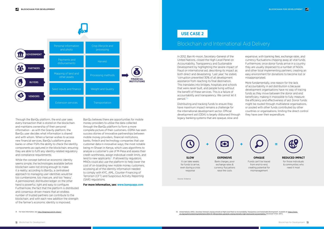Through the BanQu platform, the end user sees every transaction that is stored on the blockchain and maintains ownership of their personal information - as with the Gravity platform, the BanQu user decides what information is shared and with whom. When a farmer wishes to access new financial services, BanQu's platform gives banks or other FSPs the ability to check the identity components as captured in the blockchain, ensuring they are able to fulfil any identity-related regulatory and compliance requirements.

While the concept behind an economic identity seems simple, the technologies available before blockchain were not strong enough to make it a reality; according to BanQu, a centralised approach to managing user identities would be too cumbersome, too insecure, and too 'heavy'. A permissioned, distributed ledger on the other hand is powerful, light and easy to configure. Furthermore, the fact that the platform is distributed and consensus-driven means that an endless number of trusted partners can contribute to the blockchain, and with each new addition the strength of the farmer's economic identity is improved.

BanQu believes there are opportunities for mobile money providers to utilise the data collected through the BanQu platform to form a more complete picture of their customers. GSMA has seen success stories of innovative partnerships between mobile money providers, financial institutions, banks, fintech and technology companies that use customer data in innovative ways; the most notable being m-Shwari in Kenya, which uses algorithms to analyse a customer's use of M-Pesa and assess their credit-worthiness, assign individual credit limits, and lend to new applicants $31$ . If allowed by regulators, MNOs could also use the platform to help lower the cost of on-boarding new mobile money customers, accessing all of the identity information needed to comply with KYC, AML, Counter-Financing of Terrorism (CFT) and Suspicious Activity Reporting (SAR) regulations.

31. For more information, see: <http://cbagroup.com/m-shwari/> exercised and the state of the State of Mations (2012). 'Secretary-General's closing remarks at High-Level Panel on Accountability, Transparency and Sustainable [un.org/sg/en/content/sg/statement/2012-07-09/secretary-generals-closing-remarks-high-level-panel-accountability](https://www.un.org/sg/en/content/sg/statement/2012-07-09/secretary-generals-closing-remarks-high-level-panel-accountability) [Accessed 15 Nov. 2017].

**For more information, see: [www.banquapp.com](http://www.banquapp.com
)**

In 2012, Ban Ki-moon, Secretary-General of the United Nations, closed the High-Level Panel on Accountability, Transparency and Sustainable Development by highlighting the severe impact of fraud on international aid, describing its impact as both direct and devastating. 'Last year,' he stated, 'corruption prevented 30% of all development assistance from reaching its final destination. This translates into bridges, hospitals and schools that were never built, and people living without the benefit of these services. This is a failure of accountability and transparency. We cannot let it persist.'32

Distributing and tracking funds to ensure they have maximum impact remains a challenge for the international development sector. Official development aid (ODA) is largely disbursed through legacy banking systems that are opaque, slow and

expensive, with banking fees, exchange rates, and currency fluctuations chipping away at vital funds. Furthermore, once donor funds arrive in a country they are usually dispersed to a number of NGOs and other local implementing partners, creating an easy environment for donations to become lost or misappropriated.

More fundamentally, one reason for the lack of accountability in aid distribution is because development organisations have no way of tracing funds as they move between the donor and end beneficiary, making it impossible to fully measure the efficiency and effectiveness of aid. Donor funds might be routed through multilateral organisations, or pooled with other funds contributed by other countries or organisations, limiting the direct control they have over their expenditure.



## Blockchain and International Aid Delivery

### **USE CASE 2**





**OPAQUE** Funds can't be traced from end-to-end, creating potential for mismanagement



**REDUCED IMPACT** for those individuals & communities who need it most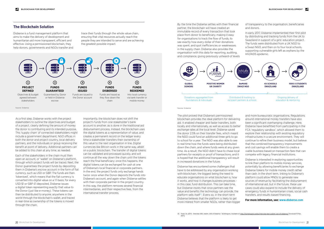As a first step, Disberse works with the project stakeholders to outline the objectives and budget of a project, clearly defining the amount of money the donor is contributing and its intended purpose. This 'supply chain' of connected stakeholders might include a government department, NGO offices in both the donor and project country, local delivery partners, and the individuals or group receiving the benefit at point of delivery. Additional partners can be added to this chain at any time, as needed.

Each of the stakeholders in the chain must then open an account, or 'wallet' on Disberse's platform, through which project funds will be traced. Next, the Donor guarantees the project funds by depositing them in Disberse's escrow account in the form of fiat currency, such as USD or GBP. The funds are then 'tokenised', which means that the fiat currency is converted into digital value on a 1:1 basis; for every USD \$1 or GBP £1 deposited, Disberse issues a digital token representing exactly that value to the Donor (just like e-money). These tokens can then be distributed to anyone, anywhere in the world through the blockchain's wallet, and traced in real-time as ownership of the tokens is moved through the chain.

Importantly, the blockchain does not shift the project's funds from one stakeholder's bank account to another, as is done in the traditional aid disbursement process. Instead, the blockchain uses the digital tokens as a *representation* of value, and creates a permanent record on the ledger every time a stakeholder transfers their ownership of this value to the next organisation in line. Digital currencies like Bitcoin work in the same way, albeit on a public blockchain. The transfer of digital tokens can be validated and processed quickly, and will continue all the way down the chain until the tokens reach the final beneficiary; once this happens, the digital tokens can be exchanged for cash at one of Disberse's local financial or corporate partners. In the end, the project funds only exchange hands twice: once when the Donor deposits the funds into Disberse's account, and again when Disberse settles with their corporate partner in the project country. In this way, the platform removes several financial intermediaries, and their respective fees, from the international transfer process.

By the time the Disberse settles with their financial partner, the blockchain will have created an immutable record of every transaction that took place from donor to beneficiary, making it easy for organisations to track the flow of funds, to see exactly how every dollar of their donations was spent, and spot inefficiencies or weaknesses in the supply chain. Disberse also provides the organisation with this data for reporting, auditing, and compliance, giving previously unheard-of levels of transparency to the organisation, beneficiaries and donors.

In early 2017, Disberse implemented their first pilot by distributing and tracking funds from the UK to Swaziland in support of a girls' education project. The funds were distributed from a UK NGO to a Swazi NGO, and then on to four local schools, supporting vulnerable girls left as orphans by the HIV/AIDS epidemic.

The pilot proved that Disberse's permissioned blockchain provides the ideal platform for delivering aid. It enabled cheaper and faster transfers, both locally and internationally, as well as access to better exchange rates at the local level. Disberse saved the donor 2.5% on their transfer fees, which meant the NGO could fund an additional three girls to go to school for a year. The NGO was also able to see in real time how the funds were being distributed down the chain, and where funds were at any given time. As a result, the NGO didn't have to chase local partners for receipts or proof of transactions, and it is hoped that the additional transparency will result in increased donations in the future.

Disberse has encountered some challenges that have to be addressed by any organisation working with blockchain, the biggest being the need to educate organisations on what blockchain is, how it works, and how it changes business processes in this case, fund distribution. This can take time, but Disberse insists that once partners see the value and benefits the technology can provide, the platform sells itself $33$ . Evens so, in the short term Disberse believes that the platform is likely to get more interest from smaller NGOs, rather than bigger and more bureaucratic organisations. Regulations around international money transfers have also been a significant overhanging challenge. Here, Disberse have benefitted from participating in the FCA 'regulatory sandbox', which allowed them to explore their relationship with existing regulatory infrastructures in a secure environment. They will continue to refine their business model, but believe that the combined transparency improvements and cost savings will enable them to create a viable business based on transaction fees that can compete with legacy financial institutions.

Disberse is interested in exploring opportunities to link their platform to mobile money services, potentially by allowing beneficiaries to exchange Disberse tokens for mobile money credit rather than cash. In the short term, linking to Disberse's platform could allow MNOs to generate new sources of revenue by facilitating the disbursement of international aid, but in the future, these use cases could also expand to include the delivery of emergency funds in humanitarian crises, social cash transfers, and results-based financing.

#### **For more information, see: [www.disberse.com](www.disberse.com/
)**



Source: Disberse

Disberse is a fund management platform that aims to make the delivery of development and humanitarian aid more transparent, efficient and effective. Using a permissioned blockchain, they help donors, governments and NGOs transfer and trace their funds through the whole value chain, ensuring that vital resources actually reach the people they are intended to serve and are achieving the greatest possible impact.

#### **The Blockchain Solution**

Source: Disberse

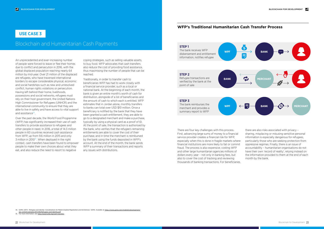An unprecedented and ever-increasing number of people were forced to leave or flee their homes due to conflict and persecution in 2016, with the global displaced population reaching nearly 64 million by mid-year. Over 21 million of the displaced are refugees, who have traversed international borders to escape considerable physical, economic and social hardships such as new and unresolved conflict, human rights violations or persecution. Having left behind their home, livelihoods, possessions and social networks, refugees must rely on their host government, the United Nations High Commissioner for Refugees (UNHCR) and the international community to ensure that they are able to live in safety and have access to vital support and assistance<sup>34</sup>.

Over the past decade, the World Food Programme (WFP) has significantly increased their use of cash transfers to provide assistance to refugees and other people in need. In 2016, a total of 14.3 million people in 60 countries received cash assistance from WFP, up from 9.6 million in 2015 and only 3 million in 2010<sup>35</sup>. When deployed in the right context, cash transfers have been found to empower people to make their own choices about what they eat, and also reduce the need to resort to negative

coping strategies, such as selling valuable assets, to buy food. WFP advocates that cash transfers also reduce the cost of providing food assistance, thus maximising the number of people that can be reached.

Traditionally, in order to transfer cash to beneficiaries WFP has had to work closely with a financial service provider, such as a local or national bank. At the beginning of each month, the bank is given an entire month's worth of cash for distribution, alongside of a list of beneficiaries and the amount of cash to which each is entitled. WFP estimates that in Jordan alone, monthly transfers to banks can total over USD \$10 million. Once a beneficiary is notified by the bank that they have been granted a cash entitlement, they are able to go to a designated merchant and make a purchase, typically by using a physical card as a proof of ID. At the point of sale, the transaction is authorised by the bank, who verifies that the refugee's remaining entitlements are able to cover the cost of their purchase, and in time the merchant is reimbursed by the bank using the funds deposited in WFP's account. At the end of the month, the bank sends WFP a summary of their transactions and reports any issues with distributions.

### Blockchain and Humanitarian Cash Payments

### **USE CASE 3**

There are four key challenges with this process. First, advancing large sums of money to a financial service provider creates a financial risk for WFP, especially when this is done in fragile markets where financial institutions are more likely to fail or commit fraud. The process is also expensive, costing WFP and other large humanitarian agencies millions of dollars every year – not only in banking fees, but also to cover the cost of tracking and reviewing thousands of banking transactions. For beneficiaries,

34. GSMA (2017). '*Refugees and Identity: Considerations for Mobile-Enabled Registration and Aid Delivery'*. GSMA. Available at: https://www.gsma.com/mobilefordevel

there are also risks associated with privacy – sharing, misplacing or misusing sensitive personal information is especially dangerous for refugees, particularly those who are seeking protection from oppressive regimes. Finally, there is an issue of accountability – humanitarian organisations do not have their own 'record of reality', relying instead on the information provided to them at the end of each month by the bank.

#### **WFP's Traditional Humanitarian Cash Transfer Process**



[wp-content/uploads/2017/06/Refugees-and-Identity.pdf](https://www.gsma.com/mobilefordevelopment/wp-content/uploads/2017/06/Refugees-and-Identity.pdf) 35. For more information, see: <http://www1.wfp.org/cash-transfers>

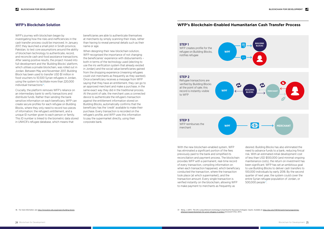WFP's journey with blockchain began by investigating how the risks and inefficiencies in the cash transfer process could be improved. In January 2017, they launched a small pilot in Sindh province, Pakistan, to test core assumptions around the ability of blockchain technology to authenticate, record, and reconcile cash and food assistance transactions. After seeing positive results, the project moved into full-development and the 'Building Blocks' platform, which utilises a private blockchain, was rolled out in Jordan. Between May and November 2017, Building Block has been used to transfer USD \$1 million in food vouchers to 10,500 Syrian refugees in Jordan, using the system to facilitate more than 220,000 individual transactions<sup>36</sup>.

Crucially, the platform removes WFP's reliance on an intermediary bank to verify transactions and distribute funds. Rather than sending the bank sensitive information on each beneficiary, WFP can create secure profiles for each refugee on Building Blocks, where they only need to record two pieces of information: the refugee's entitlement, and a unique ID number given to each person or family. This ID number is linked to the biometric data stored in UNHCR's refugee database, which means that

When designing their new blockchain solution. WFP recognised the importance of not changing the beneficiaries' experience with disbursements – both in terms of the technology used (electing to use the iris verification system that already existed in Jordan) and the social value beneficiaries gained from the shopping experience (meaning refugees could visit merchants as frequently as they wanted). Once a beneficiary receives a message from WFP saying that they have an entitlement, they can go to an approved merchant and make a purchase, in the same exact way they did in the traditional process. At the point of sale, the merchant uses a connected device to authenticate the refugee's transaction against the entitlement information stored on Building Blocks, automatically confirms that the beneficiary has the 'credit' available to make their purchase. Every transaction is recorded on the refugee's profile, and WFP uses this information to pay the supermarket directly, using their corporate bank.

beneficiaries are able to authenticate themselves at merchants by simply scanning their irises, rather than having to reveal personal details such as their name or age.

> desired. Building Blocks has also eliminated the need to advance funds to a bank, reducing finical risk. With an estimated initial development cost of less than USD \$100,000 (and minimal ongoing maintenance costs), the return on investment has been significant. WFP has set an ambitious goal to use Building Blocks to deliver cash transfers to 100,000 individuals by early 2018. By the second quarter of next year, the system could cover the entire Syrian refugee population of Jordan, or 500,000 people $37$ .

#### **WFP's Blockchain Solution WFP's Blockchain-Enabled Humanitarian Cash Transfer Process**



With the new blockchain-enabled system, WFP has eliminated a significant portion of the fees previously paid to the bank and simplified its reconciliation and payment process. The blockchain provides WFP with a permanent, real-time record of every transaction, compiling information on when each transaction happened, which beneficiary conducted the transaction, where the transaction took place (at which supermarket), and the transaction amount. Every single transaction is verified instantly on the blockchain, allowing WFP to make payment to merchants as frequently as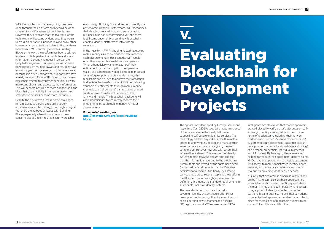

The case studies also indicate that selfsovereign identity systems could offer MNOs new opportunities to significantly lower the cost of on-boarding new customers and fulfilling SIM registration and KYC requirements. GSMA

The applications developed by Gravity, BanQu and Accenture (for ID2020) suggest that permissioned blockchains provide the ideal platform for supporting self-sovereign identity services. The technology enables any individual with a mobile phone to anonymously record and manage their sensitive personal data, while giving the user complete control over how and with whom their information is shared. This ensures the identity systems remain *portable* and *private*. The fact that the information recorded to the blockchain is immutable and vetted by the customer's peers (or banked network) means that the ID is also *persistent* and *trusted*. And finally, by allowing service providers to securely tap into the platform, the ID system becomes highly *convenient*. By definition, this meets the standard requirements for sustainable, inclusive identity systems.

It is likely that operators in emerging markets will be the first to capitalise on these opportunities, as social reputation-based identity systems have the most immediate need in places where access to legal proof of identity is limited. However, partnerships and business models that can adapt to decentralised approaches to identity must be in place for these kinds of blockchain projects to be successful, and this is a difficult task.

Intelligence has also found that mobile operators are well placed to verify a user's attributes on selfsovereign identity solutions due to their unique range of credentials $38$ , including their network credentials (customer's SIM and mobile number), customer account credentials (customer account data, point of presence locational data and billing), and personal credentials (individual biometrics and PIN codes). By leveraging these assets and helping to validate their customers' identity claims, MNOs have the opportunity to provide customers with access to more sophisticated identity-linked services, and potentially create new sources of revenue by providing identity-as-a-service.

## Evaluating Blockchain for Development Projects V.

WFP has pointed out that everything they have done through their platform so far could be done on a traditional IT system, without blockchain. However, they advocate that the real value of the technology will become evident once they begin to cross organisational boundaries and allow other humanitarian organisations to link to the database. In fact, while WFP currently operates Building Blocks on its own, the platform has been designed to allow multiple parties to contribute and share information. Currently, refugees in Jordan are likely to be registered multiple times, as different beneficiaries, by multiple NGOs, and refugees have to wait longer than necessary to obtain assistance because it is often unclear what support they have already received. Soon, WFP hopes to use the new blockchain system to empower beneficiaries with more control over, and access to, their information. This will become possible as more agencies join the blockchain, connectivity in camps improves, and smartphone devices become more ubiquitous.

Despite the platform's success, some challenges remain. Because blockchain is still a largely unproven, nascent technology, it is tough to argue that there are no bugs or issues with Building Blocks, especially when it is common to hear concerns about Bitcoin-related security breaches

even though Building Blocks does not currently use any cryptocurrencies. Furthermore, WFP recognises that standards related to storing and managing refugee ID's is not fully developed yet, and there is still some uncertainty around how blockchainenabled identity platforms fit into existing regulations.

In the near-term, WFP is hoping to start leveraging mobile money as a convenient and safe means of cash disbursement. In this scenario, WFP would open their own mobile wallet with an operator. When a beneficiary wants to 'cash out' their entitlement by transferring it to their personal wallet, or if a merchant would like to be reimbursed for a refugee's purchase via mobile money, the blockchain can be used to approve the transaction and initiate the transfer of credit. In time, delivering vouchers or entitlements through mobile money channels could allow beneficiaries to save unused funds, or even transfer entitlements to their family and friends. The blockchain backbone will allow beneficiaries to seamlessly redeem their entitlements through mobile money, ATMs, or supermarkets.

**For more information, see: http://innovation.wfp.org/project/buildingblocks**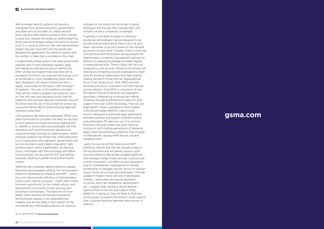## **gsma.com**

Self-sovereign identity systems will require a willingness from global institutions, governments and other service providers to collaborate and share sensitive information outside of their internal, trusted silos. Despite the widely accepted belief that blockchain technologies replace the need for human trust, it is crucial to point out that with permissioned ledgers the user must still trust the people who designed the application, the platform owners and the verifiers of data that is recorded on the chain.

Fundamentally, these systems will need government backing, and in many emerging markets, legal and regulatory frameworks around identity are often unclear and fragmented, and there are no standards for how to use unproven technology such as blockchain to store, manage and share citizen data. Regulators will need to determine who is legally responsible for the data in 'self-sovereign' ID systems – the user, or the platform provider? They will also need to grapple with questions such as: how will users and regulators know that the platforms and personal data are sustainably secure? And how does the use of blockchain for producing, using and sharing data fit within existing legal and regulatory practices?

In general, it will likely be easier to introduce blockchain technologies that are designed to be private and permissioned as there is less risk and fewer unknowns, as all participants on the network are known to each other. However, there is some risk that permissioned blockchains will perpetuate the fragmentation of identity management and service delivery by keeping knowledge and data trapped in organisational silos. There is hope that the trust, transparency and security offered by blockchain will remove any remaining excuses organisations might have for avoiding collaboration and data-sharing, helping the sector move from an 'organizational focus' to an 'issues focus'. Here, MNOs and the development sector could learn from the financial service industry. Since 2014, a consortium of over 100 global financial institutions and regulators have been collaborating on blockchain-related initiatives through a software firm called R3. With support from over 2,000 technology, financial, and legal experts, these organisations have created a distributed ledger platform, called Corda, which is designed to automate legal agreements between partners and support interbank trading and settlements. R3 was born out of a common frustration amongst banks and other financial institutions with multiple generations of disparate legacy financial technology platforms that struggle to interoperate, causing inefficiencies, risk and spiralling costs<sup>39</sup>.

Until questions like these are addressed, MNOs and other formal service providers will likely be reluctant to start tapping into these blockchain applications to validate or access data, and potentially risk their reputation with government and regulators by using technology that has not been properly vetted. However, Disberse has shown that small-scale pilots run in cooperation with regulators, government and service providers could create a regulatory 'safe sandbox space' where stakeholders can become more comfortable with the technology and define how blockchain can be used for KYC and identity purposes, leading to greater social and economic impact.

While the self-sovereign identity platforms appear libertarian and paradigm-shifting, the 'incorporative' platforms developed by Disperse and WFP – which focus on improving the efficiency of administrative systems and internal processes – might offer a more imminent opportunity for the mobile industry and development community to start working with blockchain technologies. The platforms fit more neatly within existing institutional frameworks and processes, appear to be sustainable and scalable, and are less likely to feel 'radical' for the end beneficiary. With Building Blocks, for instance,

refugees do not know that blockchain is being employed, and the way they manage their cash transfers remains completely unchanged.

Lastly, the success of the Disberse and WFP platforms indicate that the role operators play in the humanitarian and aid delivery spaces could soon be enhanced. Blockchain-enabled platforms that leverage mobile money services could provide a more convenient, cost-effective and transparent way for humanitarian organisations to transfer entitlements to refugees, and for donors to transfer project funds across international borders. The high uptake of mobile money services in developing markets – particularly among the segments of society which are targeted by development aid – suggests that operators should explore opportunities to link into and support these platforms. In doing so, they are likely to find new, exciting ways to support the delivery of aid, expand their customer base and generate new sources of revenue.

39. For more information, see: <https://www.r3.com/about/>